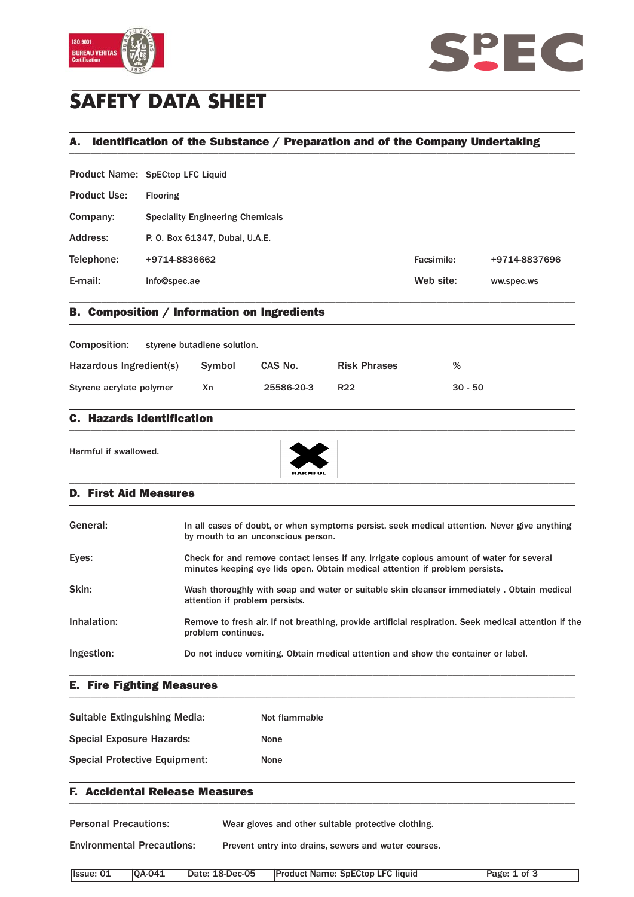



# **SAFETY DATA SHEET**

## A. Identification of the Substance / Preparation and of the Company Undertaking \_\_\_\_\_\_\_\_\_\_\_\_\_\_\_\_\_\_\_\_\_\_\_\_\_\_\_\_\_\_\_\_\_\_\_\_\_\_\_\_\_\_\_\_\_\_\_\_\_\_\_\_\_\_\_\_\_\_\_\_\_\_\_\_\_\_\_\_\_\_\_\_\_\_\_\_\_\_\_\_\_\_\_\_\_\_\_\_\_\_\_\_\_\_\_

\_\_\_\_\_\_\_\_\_\_\_\_\_\_\_\_\_\_\_\_\_\_\_\_\_\_\_\_\_\_\_\_\_\_\_\_\_\_\_\_\_\_\_\_\_\_\_\_\_\_\_\_\_\_\_\_\_\_\_\_\_\_\_\_\_\_\_\_\_\_\_\_\_\_\_\_\_\_\_\_\_\_\_\_\_\_\_\_\_\_\_\_\_\_\_

Product Name: SpECtop LFC Liquid

| <b>Product Use:</b> | <b>Flooring</b>                         |            |               |  |
|---------------------|-----------------------------------------|------------|---------------|--|
| Company:            | <b>Speciality Engineering Chemicals</b> |            |               |  |
| Address:            | P. O. Box 61347, Dubai, U.A.E.          |            |               |  |
| Telephone:          | +9714-8836662                           | Facsimile: | +9714-8837696 |  |
| E-mail:             | info@spec.ae                            | Web site:  | ww.spec.ws    |  |
|                     |                                         |            |               |  |

### B. Composition / Information on Ingredients \_\_\_\_\_\_\_\_\_\_\_\_\_\_\_\_\_\_\_\_\_\_\_\_\_\_\_\_\_\_\_\_\_\_\_\_\_\_\_\_\_\_\_\_\_\_\_\_\_\_\_\_\_\_\_\_\_\_\_\_\_\_\_\_\_\_\_\_\_\_\_\_\_\_\_\_\_\_\_\_\_\_\_\_\_\_\_\_\_\_\_\_\_\_\_

| <b>Composition:</b>      | styrene butadiene solution. |            |                     |           |
|--------------------------|-----------------------------|------------|---------------------|-----------|
| Hazardous Ingredient(s)  | Symbol                      | CAS No.    | <b>Risk Phrases</b> | %         |
| Styrene acrylate polymer | Хn                          | 25586-20-3 | R <sub>22</sub>     | $30 - 50$ |

\_\_\_\_\_\_\_\_\_\_\_\_\_\_\_\_\_\_\_\_\_\_\_\_\_\_\_\_\_\_\_\_\_\_\_\_\_\_\_\_\_\_\_\_\_\_\_\_\_\_\_\_\_\_\_\_\_\_\_\_\_\_\_\_\_\_\_\_\_\_\_\_\_\_\_\_\_\_\_\_\_\_\_\_\_\_\_\_\_\_\_\_\_\_\_

### C. Hazards Identification  $\blacksquare$

Harmful if swallowed.



#### D. First Aid Measures \_\_\_\_\_\_\_\_\_\_\_\_\_\_\_\_\_\_\_\_\_\_\_\_\_\_\_\_\_\_\_\_\_\_\_\_\_\_\_\_\_\_\_\_\_\_\_\_\_\_\_\_\_\_\_\_\_\_\_\_\_\_\_\_\_\_\_\_\_\_\_\_\_\_\_\_\_\_\_\_\_\_\_\_\_\_\_\_\_\_\_\_\_\_\_

| In all cases of doubt, or when symptoms persist, seek medical attention. Never give anything<br>by mouth to an unconscious person.                                       |
|--------------------------------------------------------------------------------------------------------------------------------------------------------------------------|
| Check for and remove contact lenses if any. Irrigate copious amount of water for several<br>minutes keeping eye lids open. Obtain medical attention if problem persists. |
| Wash thoroughly with soap and water or suitable skin cleanser immediately. Obtain medical<br>attention if problem persists.                                              |
| Remove to fresh air. If not breathing, provide artificial respiration. Seek medical attention if the<br>problem continues.                                               |
| Do not induce vomiting. Obtain medical attention and show the container or label.                                                                                        |
|                                                                                                                                                                          |

E. Fire Fighting Measures \_\_\_\_\_\_\_\_\_\_\_\_\_\_\_\_\_\_\_\_\_\_\_\_\_\_\_\_\_\_\_\_\_\_\_\_\_\_\_\_\_\_\_\_\_\_\_\_\_\_\_\_\_\_\_\_\_\_\_\_\_\_\_\_\_\_\_\_\_\_\_\_\_\_\_\_\_\_\_\_\_\_\_\_\_\_\_\_\_\_\_\_\_\_\_

| Suitable Extinguishing Media:        | Not flammable |
|--------------------------------------|---------------|
| <b>Special Exposure Hazards:</b>     | <b>None</b>   |
| <b>Special Protective Equipment:</b> | <b>None</b>   |

### F. Accidental Release Measures  $\blacksquare$

Personal Precautions: Wear gloves and other suitable protective clothing.

Environmental Precautions: Prevent entry into drains, sewers and water courses.

| Issue: 01 | <b>IOA-041</b> | Date: 18-Dec-05 | <b>Product Name: SpECtop LFC liquid</b> | . of<br>Page: |
|-----------|----------------|-----------------|-----------------------------------------|---------------|

\_\_\_\_\_\_\_\_\_\_\_\_\_\_\_\_\_\_\_\_\_\_\_\_\_\_\_\_\_\_\_\_\_\_\_\_\_\_\_\_\_\_\_\_\_\_\_\_\_\_\_\_\_\_\_\_\_\_\_\_\_\_\_\_\_\_\_\_\_\_\_\_\_\_\_\_\_\_\_\_\_\_\_\_\_\_\_\_\_\_\_\_\_\_\_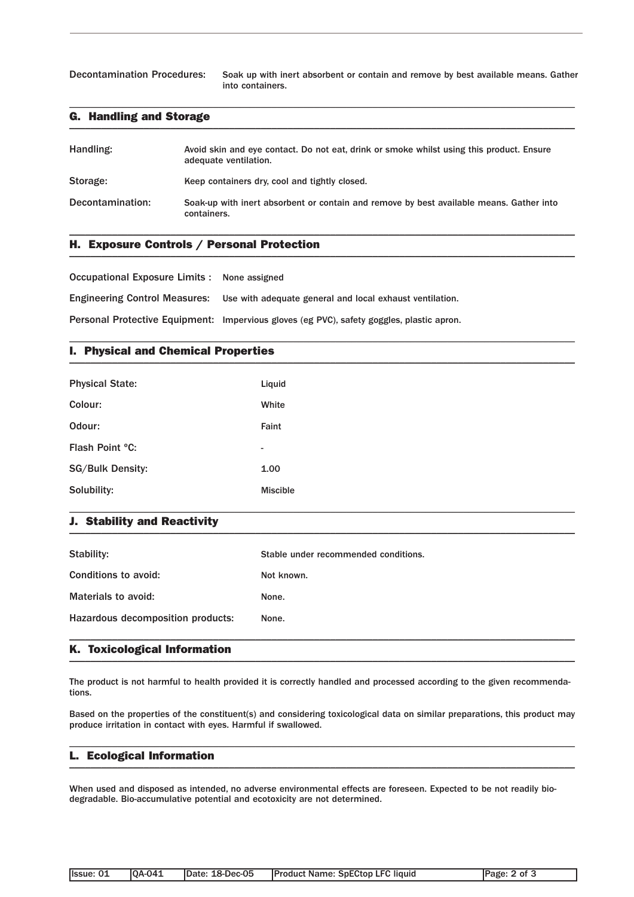Decontamination Procedures: Soak up with inert absorbent or contain and remove by best available means. Gather into containers.

#### G. Handling and Storage  $\blacksquare$

| Handling:        | Avoid skin and eve contact. Do not eat, drink or smoke whilst using this product. Ensure<br>adequate ventilation. |
|------------------|-------------------------------------------------------------------------------------------------------------------|
| Storage:         | Keep containers dry, cool and tightly closed.                                                                     |
| Decontamination: | Soak-up with inert absorbent or contain and remove by best available means. Gather into<br>containers.            |

\_\_\_\_\_\_\_\_\_\_\_\_\_\_\_\_\_\_\_\_\_\_\_\_\_\_\_\_\_\_\_\_\_\_\_\_\_\_\_\_\_\_\_\_\_\_\_\_\_\_\_\_\_\_\_\_\_\_\_\_\_\_\_\_\_\_\_\_\_\_\_\_\_\_\_\_\_\_\_\_\_\_\_\_\_\_\_\_\_\_\_\_\_\_\_

\_\_\_\_\_\_\_\_\_\_\_\_\_\_\_\_\_\_\_\_\_\_\_\_\_\_\_\_\_\_\_\_\_\_\_\_\_\_\_\_\_\_\_\_\_\_\_\_\_\_\_\_\_\_\_\_\_\_\_\_\_\_\_\_\_\_\_\_\_\_\_\_\_\_\_\_\_\_\_\_\_\_\_\_\_\_\_\_\_\_\_\_\_\_\_

\_\_\_\_\_\_\_\_\_\_\_\_\_\_\_\_\_\_\_\_\_\_\_\_\_\_\_\_\_\_\_\_\_\_\_\_\_\_\_\_\_\_\_\_\_\_\_\_\_\_\_\_\_\_\_\_\_\_\_\_\_\_\_\_\_\_\_\_\_\_\_\_\_\_\_\_\_\_\_\_\_\_\_\_\_\_\_\_\_\_\_\_\_\_\_

### H. Exposure Controls / Personal Protection \_\_\_\_\_\_\_\_\_\_\_\_\_\_\_\_\_\_\_\_\_\_\_\_\_\_\_\_\_\_\_\_\_\_\_\_\_\_\_\_\_\_\_\_\_\_\_\_\_\_\_\_\_\_\_\_\_\_\_\_\_\_\_\_\_\_\_\_\_\_\_\_\_\_\_\_\_\_\_\_\_\_\_\_\_\_\_\_\_\_\_\_\_\_\_

Occupational Exposure Limits : None assigned

Engineering Control Measures: Use with adequate general and local exhaust ventilation.

Personal Protective Equipment: Impervious gloves (eg PVC), safety goggles, plastic apron.

### I. Physical and Chemical Properties \_\_\_\_\_\_\_\_\_\_\_\_\_\_\_\_\_\_\_\_\_\_\_\_\_\_\_\_\_\_\_\_\_\_\_\_\_\_\_\_\_\_\_\_\_\_\_\_\_\_\_\_\_\_\_\_\_\_\_\_\_\_\_\_\_\_\_\_\_\_\_\_\_\_\_\_\_\_\_\_\_\_\_\_\_\_\_\_\_\_\_\_\_\_\_

| <b>Physical State:</b>  | Liquid          |
|-------------------------|-----------------|
| Colour:                 | White           |
| Odour:                  | Faint           |
| Flash Point °C:         |                 |
| <b>SG/Bulk Density:</b> | 1.00            |
| Solubility:             | <b>Miscible</b> |

#### J. Stability and Reactivity  $\blacksquare$

| Stability:                        | Stable under recommended conditions. |
|-----------------------------------|--------------------------------------|
| Conditions to avoid:              | Not known.                           |
| Materials to avoid:               | None.                                |
| Hazardous decomposition products: | None.                                |
|                                   |                                      |

\_\_\_\_\_\_\_\_\_\_\_\_\_\_\_\_\_\_\_\_\_\_\_\_\_\_\_\_\_\_\_\_\_\_\_\_\_\_\_\_\_\_\_\_\_\_\_\_\_\_\_\_\_\_\_\_\_\_\_\_\_\_\_\_\_\_\_\_\_\_\_\_\_\_\_\_\_\_\_\_\_\_\_\_\_\_\_\_\_\_\_\_\_\_\_

#### K. Toxicological Information \_\_\_\_\_\_\_\_\_\_\_\_\_\_\_\_\_\_\_\_\_\_\_\_\_\_\_\_\_\_\_\_\_\_\_\_\_\_\_\_\_\_\_\_\_\_\_\_\_\_\_\_\_\_\_\_\_\_\_\_\_\_\_\_\_\_\_\_\_\_\_\_\_\_\_\_\_\_\_\_\_\_\_\_\_\_\_\_\_\_\_\_\_\_\_

The product is not harmful to health provided it is correctly handled and processed according to the given recommendations.

Based on the properties of the constituent(s) and considering toxicological data on similar preparations, this product may produce irritation in contact with eyes. Harmful if swallowed.

\_\_\_\_\_\_\_\_\_\_\_\_\_\_\_\_\_\_\_\_\_\_\_\_\_\_\_\_\_\_\_\_\_\_\_\_\_\_\_\_\_\_\_\_\_\_\_\_\_\_\_\_\_\_\_\_\_\_\_\_\_\_\_\_\_\_\_\_\_\_\_\_\_\_\_\_\_\_\_\_\_\_\_\_\_\_\_\_\_\_\_\_\_\_\_

#### L. Ecological Information \_\_\_\_\_\_\_\_\_\_\_\_\_\_\_\_\_\_\_\_\_\_\_\_\_\_\_\_\_\_\_\_\_\_\_\_\_\_\_\_\_\_\_\_\_\_\_\_\_\_\_\_\_\_\_\_\_\_\_\_\_\_\_\_\_\_\_\_\_\_\_\_\_\_\_\_\_\_\_\_\_\_\_\_\_\_\_\_\_\_\_\_\_\_\_

When used and disposed as intended, no adverse environmental effects are foreseen. Expected to be not readily biodegradable. Bio-accumulative potential and ecotoxicity are not determined.

| <b>OA-041</b><br><b>Issue: 01</b> | <b>IDate: 18-Dec-05</b> | <b>Product Name: SpECtop LFC liquid</b> | Page: 2 of 3 |
|-----------------------------------|-------------------------|-----------------------------------------|--------------|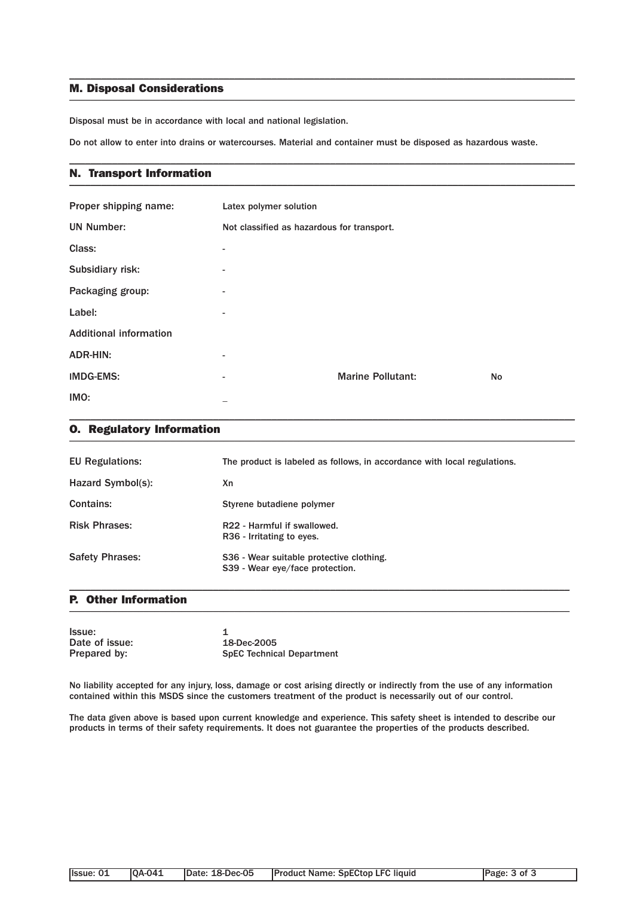### M. Disposal Considerations  $\blacksquare$

Disposal must be in accordance with local and national legislation.

Do not allow to enter into drains or watercourses. Material and container must be disposed as hazardous waste.

\_\_\_\_\_\_\_\_\_\_\_\_\_\_\_\_\_\_\_\_\_\_\_\_\_\_\_\_\_\_\_\_\_\_\_\_\_\_\_\_\_\_\_\_\_\_\_\_\_\_\_\_\_\_\_\_\_\_\_\_\_\_\_\_\_\_\_\_\_\_\_\_\_\_\_\_\_\_\_\_\_\_\_\_\_\_\_\_\_\_\_\_\_\_\_

\_\_\_\_\_\_\_\_\_\_\_\_\_\_\_\_\_\_\_\_\_\_\_\_\_\_\_\_\_\_\_\_\_\_\_\_\_\_\_\_\_\_\_\_\_\_\_\_\_\_\_\_\_\_\_\_\_\_\_\_\_\_\_\_\_\_\_\_\_\_\_\_\_\_\_\_\_\_\_\_\_\_\_\_\_\_\_\_\_\_\_\_\_\_\_

### N. Transport Information \_\_\_\_\_\_\_\_\_\_\_\_\_\_\_\_\_\_\_\_\_\_\_\_\_\_\_\_\_\_\_\_\_\_\_\_\_\_\_\_\_\_\_\_\_\_\_\_\_\_\_\_\_\_\_\_\_\_\_\_\_\_\_\_\_\_\_\_\_\_\_\_\_\_\_\_\_\_\_\_\_\_\_\_\_\_\_\_\_\_\_\_\_\_\_

| Proper shipping name:         | Latex polymer solution                     |                          |    |
|-------------------------------|--------------------------------------------|--------------------------|----|
| <b>UN Number:</b>             | Not classified as hazardous for transport. |                          |    |
| Class:                        | $\overline{\phantom{0}}$                   |                          |    |
| Subsidiary risk:              | -                                          |                          |    |
| Packaging group:              | $\overline{\phantom{0}}$                   |                          |    |
| Label:                        | -                                          |                          |    |
| <b>Additional information</b> |                                            |                          |    |
| ADR-HIN:                      | -                                          |                          |    |
| <b>IMDG-EMS:</b>              | -                                          | <b>Marine Pollutant:</b> | No |
| IMO:                          |                                            |                          |    |

| <b>EU Regulations:</b> | The product is labeled as follows, in accordance with local regulations.    |
|------------------------|-----------------------------------------------------------------------------|
| Hazard Symbol(s):      | Xn                                                                          |
| Contains:              | Styrene butadiene polymer                                                   |
| <b>Risk Phrases:</b>   | R22 - Harmful if swallowed.<br>R <sub>36</sub> - Irritating to eyes.        |
| <b>Safety Phrases:</b> | S36 - Wear suitable protective clothing.<br>S39 - Wear eye/face protection. |

\_\_\_\_\_\_\_\_\_\_\_\_\_\_\_\_\_\_\_\_\_\_\_\_\_\_\_\_\_\_\_\_\_\_\_\_\_\_\_\_\_\_\_\_\_\_\_\_\_\_\_\_\_\_\_\_\_\_\_\_\_\_\_\_\_\_\_\_\_\_\_\_\_\_\_\_\_\_\_\_\_\_\_\_\_\_\_\_\_\_\_\_\_\_

\_\_\_\_\_\_\_\_\_\_\_\_\_\_\_\_\_\_\_\_\_\_\_\_\_\_\_\_\_\_\_\_\_\_\_\_\_\_\_\_\_\_\_\_\_\_\_\_\_\_\_\_\_\_\_\_\_\_\_\_\_\_\_\_\_\_\_\_\_\_\_\_\_\_\_\_\_\_\_\_\_\_\_\_\_\_\_\_\_\_\_\_\_\_\_

\_\_\_\_\_\_\_\_\_\_\_\_\_\_\_\_\_\_\_\_\_\_\_\_\_\_\_\_\_\_\_\_\_\_\_\_\_\_\_\_\_\_\_\_\_\_\_\_\_\_\_\_\_\_\_\_\_\_\_\_\_\_\_\_\_\_\_\_\_\_\_\_\_\_\_\_\_\_\_\_\_\_\_\_\_\_\_\_\_\_\_\_\_\_\_

### P. Other Information  $\blacksquare$

O. Regulatory Information

| lssue:         |                                  |
|----------------|----------------------------------|
| Date of issue: | 18-Dec-2005                      |
| Prepared by:   | <b>SpEC Technical Department</b> |

No liability accepted for any injury, loss, damage or cost arising directly or indirectly from the use of any information contained within this MSDS since the customers treatment of the product is necessarily out of our control.

The data given above is based upon current knowledge and experience. This safety sheet is intended to describe our products in terms of their safety requirements. It does not guarantee the properties of the products described.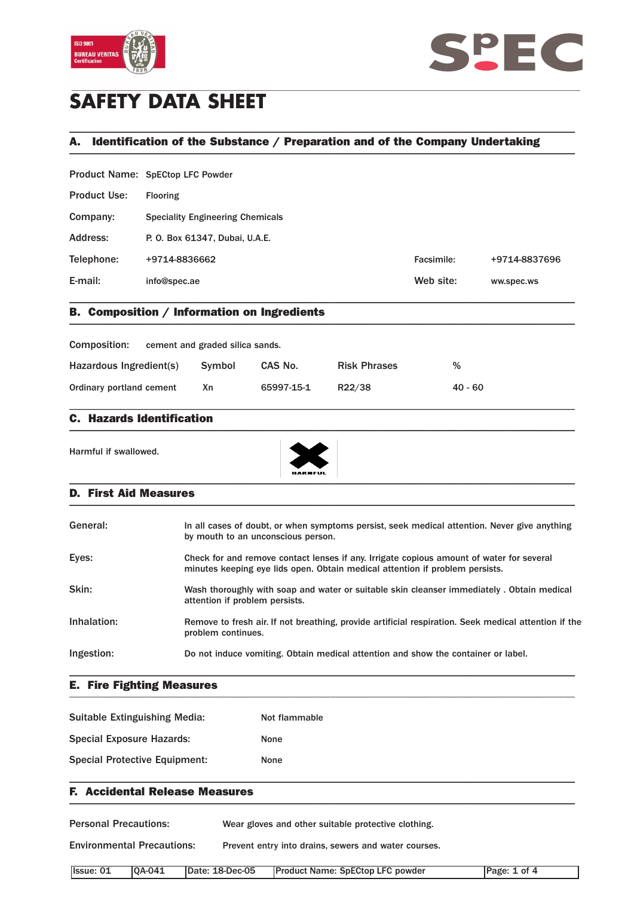



# **SAFETY DATA SHEET**

## A. Identification of the Substance / Preparation and of the Company Undertaking \_\_\_\_\_\_\_\_\_\_\_\_\_\_\_\_\_\_\_\_\_\_\_\_\_\_\_\_\_\_\_\_\_\_\_\_\_\_\_\_\_\_\_\_\_\_\_\_\_\_\_\_\_\_\_\_\_\_\_\_\_\_\_\_\_\_\_\_\_\_\_\_\_\_\_\_\_\_\_\_\_\_\_\_\_\_\_\_\_\_\_\_\_\_\_

\_\_\_\_\_\_\_\_\_\_\_\_\_\_\_\_\_\_\_\_\_\_\_\_\_\_\_\_\_\_\_\_\_\_\_\_\_\_\_\_\_\_\_\_\_\_\_\_\_\_\_\_\_\_\_\_\_\_\_\_\_\_\_\_\_\_\_\_\_\_\_\_\_\_\_\_\_\_\_\_\_\_\_\_\_\_\_\_\_\_\_\_\_\_\_

Product Name: SpECtop LFC Powder

| <b>Product Use:</b> | <b>Flooring</b>                         |            |               |
|---------------------|-----------------------------------------|------------|---------------|
| Company:            | <b>Speciality Engineering Chemicals</b> |            |               |
| Address:            | P. O. Box 61347, Dubai, U.A.E.          |            |               |
| Telephone:          | +9714-8836662                           | Facsimile: | +9714-8837696 |
| E-mail:             | info@spec.ae                            | Web site:  | ww.spec.ws    |
|                     |                                         |            |               |

### B. Composition / Information on Ingredients \_\_\_\_\_\_\_\_\_\_\_\_\_\_\_\_\_\_\_\_\_\_\_\_\_\_\_\_\_\_\_\_\_\_\_\_\_\_\_\_\_\_\_\_\_\_\_\_\_\_\_\_\_\_\_\_\_\_\_\_\_\_\_\_\_\_\_\_\_\_\_\_\_\_\_\_\_\_\_\_\_\_\_\_\_\_\_\_\_\_\_\_\_\_\_

| Composition:             | cement and graded silica sands. |            |                     |           |
|--------------------------|---------------------------------|------------|---------------------|-----------|
| Hazardous Ingredient(s)  | Symbol                          | CAS No.    | <b>Risk Phrases</b> | %         |
| Ordinary portland cement | Хn                              | 65997-15-1 | R22/38              | $40 - 60$ |

\_\_\_\_\_\_\_\_\_\_\_\_\_\_\_\_\_\_\_\_\_\_\_\_\_\_\_\_\_\_\_\_\_\_\_\_\_\_\_\_\_\_\_\_\_\_\_\_\_\_\_\_\_\_\_\_\_\_\_\_\_\_\_\_\_\_\_\_\_\_\_\_\_\_\_\_\_\_\_\_\_\_\_\_\_\_\_\_\_\_\_\_\_\_\_

### C. Hazards Identification  $\blacksquare$

Harmful if swallowed.



#### D. First Aid Measures \_\_\_\_\_\_\_\_\_\_\_\_\_\_\_\_\_\_\_\_\_\_\_\_\_\_\_\_\_\_\_\_\_\_\_\_\_\_\_\_\_\_\_\_\_\_\_\_\_\_\_\_\_\_\_\_\_\_\_\_\_\_\_\_\_\_\_\_\_\_\_\_\_\_\_\_\_\_\_\_\_\_\_\_\_\_\_\_\_\_\_\_\_\_\_

| In all cases of doubt, or when symptoms persist, seek medical attention. Never give anything<br>by mouth to an unconscious person.                                       |
|--------------------------------------------------------------------------------------------------------------------------------------------------------------------------|
| Check for and remove contact lenses if any. Irrigate copious amount of water for several<br>minutes keeping eye lids open. Obtain medical attention if problem persists. |
| Wash thoroughly with soap and water or suitable skin cleanser immediately. Obtain medical<br>attention if problem persists.                                              |
| Remove to fresh air. If not breathing, provide artificial respiration. Seek medical attention if the<br>problem continues.                                               |
| Do not induce vomiting. Obtain medical attention and show the container or label.                                                                                        |
|                                                                                                                                                                          |

E. Fire Fighting Measures \_\_\_\_\_\_\_\_\_\_\_\_\_\_\_\_\_\_\_\_\_\_\_\_\_\_\_\_\_\_\_\_\_\_\_\_\_\_\_\_\_\_\_\_\_\_\_\_\_\_\_\_\_\_\_\_\_\_\_\_\_\_\_\_\_\_\_\_\_\_\_\_\_\_\_\_\_\_\_\_\_\_\_\_\_\_\_\_\_\_\_\_\_\_\_

| Suitable Extinguishing Media:        | Not flammable |
|--------------------------------------|---------------|
| <b>Special Exposure Hazards:</b>     | <b>None</b>   |
| <b>Special Protective Equipment:</b> | <b>None</b>   |

### F. Accidental Release Measures  $\blacksquare$

Personal Precautions: Wear gloves and other suitable protective clothing. Environmental Precautions: Prevent entry into drains, sewers and water courses. Issue: 01 QA-041 Date: 18-Dec-05 Product Name: SpECtop LFC powder Page: 1 of 4

\_\_\_\_\_\_\_\_\_\_\_\_\_\_\_\_\_\_\_\_\_\_\_\_\_\_\_\_\_\_\_\_\_\_\_\_\_\_\_\_\_\_\_\_\_\_\_\_\_\_\_\_\_\_\_\_\_\_\_\_\_\_\_\_\_\_\_\_\_\_\_\_\_\_\_\_\_\_\_\_\_\_\_\_\_\_\_\_\_\_\_\_\_\_\_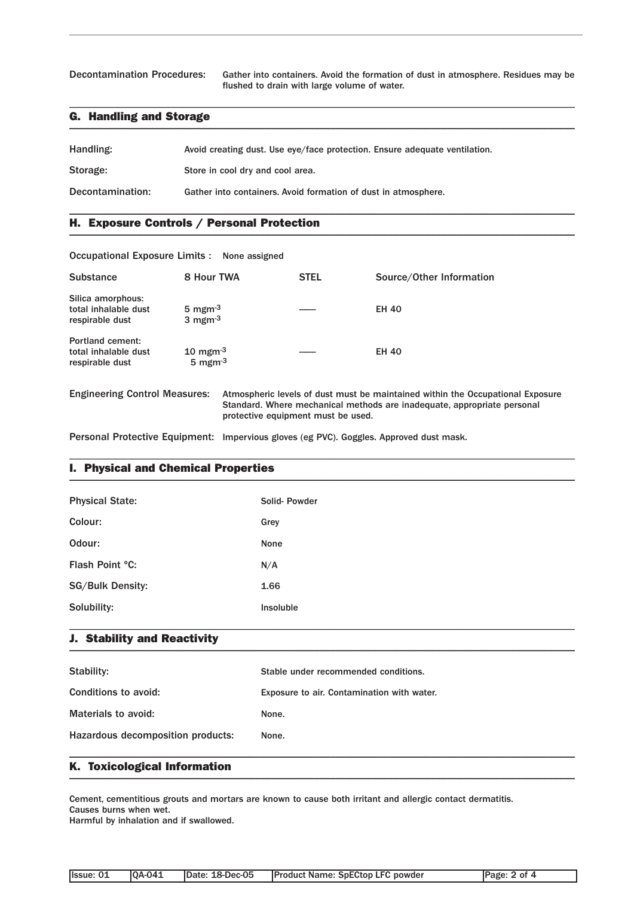Decontamination Procedures: Gather into containers. Avoid the formation of dust in atmosphere. Residues may be flushed to drain with large volume of water.

#### G. Handling and Storage  $\blacksquare$

| Handling:        | Avoid creating dust. Use eye/face protection. Ensure adequate ventilation. |
|------------------|----------------------------------------------------------------------------|
| Storage:         | Store in cool dry and cool area.                                           |
| Decontamination: | Gather into containers. Avoid formation of dust in atmosphere.             |

\_\_\_\_\_\_\_\_\_\_\_\_\_\_\_\_\_\_\_\_\_\_\_\_\_\_\_\_\_\_\_\_\_\_\_\_\_\_\_\_\_\_\_\_\_\_\_\_\_\_\_\_\_\_\_\_\_\_\_\_\_\_\_\_\_\_\_\_\_\_\_\_\_\_\_\_\_\_\_\_\_\_\_\_\_\_\_\_\_\_\_\_\_\_\_

\_\_\_\_\_\_\_\_\_\_\_\_\_\_\_\_\_\_\_\_\_\_\_\_\_\_\_\_\_\_\_\_\_\_\_\_\_\_\_\_\_\_\_\_\_\_\_\_\_\_\_\_\_\_\_\_\_\_\_\_\_\_\_\_\_\_\_\_\_\_\_\_\_\_\_\_\_\_\_\_\_\_\_\_\_\_\_\_\_\_\_\_\_\_\_

### H. Exposure Controls / Personal Protection \_\_\_\_\_\_\_\_\_\_\_\_\_\_\_\_\_\_\_\_\_\_\_\_\_\_\_\_\_\_\_\_\_\_\_\_\_\_\_\_\_\_\_\_\_\_\_\_\_\_\_\_\_\_\_\_\_\_\_\_\_\_\_\_\_\_\_\_\_\_\_\_\_\_\_\_\_\_\_\_\_\_\_\_\_\_\_\_\_\_\_\_\_\_\_

Occupational Exposure Limits : None assigned Substance 8 Hour TWA STEL Source/Other Information Silica amorphous: total inhalable dust  $5 \text{ mgm}^3$  ----- EH 40<br>respirable dust  $3 \text{ mgm}^3$ respirable dust Portland cement: total inhalable dust  $10 \text{ mgm}^3$  ---- EH 40 respirable dust  $5 \text{ mgm}^{-3}$ Engineering Control Measures: Atmospheric levels of dust must be maintained within the Occupational Exposure Standard. Where mechanical methods are inadequate, appropriate personal protective equipment must be used.

Personal Protective Equipment: Impervious gloves (eg PVC). Goggles. Approved dust mask.

### I. Physical and Chemical Properties \_\_\_\_\_\_\_\_\_\_\_\_\_\_\_\_\_\_\_\_\_\_\_\_\_\_\_\_\_\_\_\_\_\_\_\_\_\_\_\_\_\_\_\_\_\_\_\_\_\_\_\_\_\_\_\_\_\_\_\_\_\_\_\_\_\_\_\_\_\_\_\_\_\_\_\_\_\_\_\_\_\_\_\_\_\_\_\_\_\_\_\_\_\_\_

| <b>Physical State:</b>  | Solid-Powder |
|-------------------------|--------------|
| Colour:                 | Grey         |
| Odour:                  | None         |
| Flash Point °C:         | N/A          |
| <b>SG/Bulk Density:</b> | 1.66         |
| Solubility:             | Insoluble    |
|                         |              |

\_\_\_\_\_\_\_\_\_\_\_\_\_\_\_\_\_\_\_\_\_\_\_\_\_\_\_\_\_\_\_\_\_\_\_\_\_\_\_\_\_\_\_\_\_\_\_\_\_\_\_\_\_\_\_\_\_\_\_\_\_\_\_\_\_\_\_\_\_\_\_\_\_\_\_\_\_\_\_\_\_\_\_\_\_\_\_\_\_\_\_\_\_\_\_

#### J. Stability and Reactivity  $\blacksquare$

| Stability:                        | Stable under recommended conditions.       |
|-----------------------------------|--------------------------------------------|
| Conditions to avoid:              | Exposure to air. Contamination with water. |
| Materials to avoid:               | None.                                      |
| Hazardous decomposition products: | None.                                      |
|                                   |                                            |

### K. Toxicological Information \_\_\_\_\_\_\_\_\_\_\_\_\_\_\_\_\_\_\_\_\_\_\_\_\_\_\_\_\_\_\_\_\_\_\_\_\_\_\_\_\_\_\_\_\_\_\_\_\_\_\_\_\_\_\_\_\_\_\_\_\_\_\_\_\_\_\_\_\_\_\_\_\_\_\_\_\_\_\_\_\_\_\_\_\_\_\_\_\_\_\_\_\_\_\_

Cement, cementitious grouts and mortars are known to cause both irritant and allergic contact dermatitis. Causes burns when wet.

Harmful by inhalation and if swallowed.

| Issue: 01 | <b>10A-041</b> | IDate: 18-Dec-05 | <b>Product Name: SpECtop LFC powder</b> | Page: 2 of 4 |
|-----------|----------------|------------------|-----------------------------------------|--------------|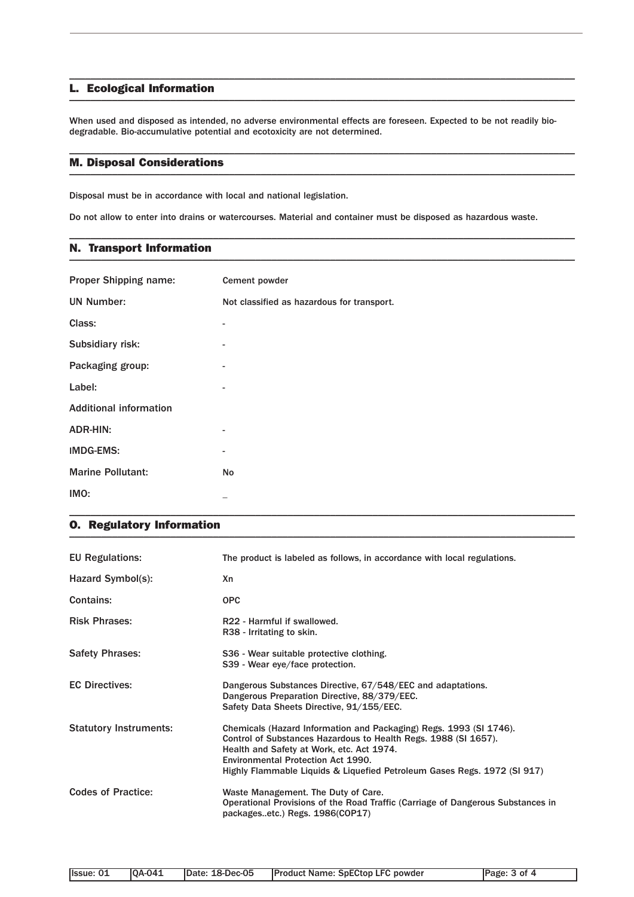### L. Ecological Information \_\_\_\_\_\_\_\_\_\_\_\_\_\_\_\_\_\_\_\_\_\_\_\_\_\_\_\_\_\_\_\_\_\_\_\_\_\_\_\_\_\_\_\_\_\_\_\_\_\_\_\_\_\_\_\_\_\_\_\_\_\_\_\_\_\_\_\_\_\_\_\_\_\_\_\_\_\_\_\_\_\_\_\_\_\_\_\_\_\_\_\_\_\_\_

When used and disposed as intended, no adverse environmental effects are foreseen. Expected to be not readily biodegradable. Bio-accumulative potential and ecotoxicity are not determined.

\_\_\_\_\_\_\_\_\_\_\_\_\_\_\_\_\_\_\_\_\_\_\_\_\_\_\_\_\_\_\_\_\_\_\_\_\_\_\_\_\_\_\_\_\_\_\_\_\_\_\_\_\_\_\_\_\_\_\_\_\_\_\_\_\_\_\_\_\_\_\_\_\_\_\_\_\_\_\_\_\_\_\_\_\_\_\_\_\_\_\_\_\_\_\_

\_\_\_\_\_\_\_\_\_\_\_\_\_\_\_\_\_\_\_\_\_\_\_\_\_\_\_\_\_\_\_\_\_\_\_\_\_\_\_\_\_\_\_\_\_\_\_\_\_\_\_\_\_\_\_\_\_\_\_\_\_\_\_\_\_\_\_\_\_\_\_\_\_\_\_\_\_\_\_\_\_\_\_\_\_\_\_\_\_\_\_\_\_\_\_

\_\_\_\_\_\_\_\_\_\_\_\_\_\_\_\_\_\_\_\_\_\_\_\_\_\_\_\_\_\_\_\_\_\_\_\_\_\_\_\_\_\_\_\_\_\_\_\_\_\_\_\_\_\_\_\_\_\_\_\_\_\_\_\_\_\_\_\_\_\_\_\_\_\_\_\_\_\_\_\_\_\_\_\_\_\_\_\_\_\_\_\_\_\_\_

### M. Disposal Considerations \_\_\_\_\_\_\_\_\_\_\_\_\_\_\_\_\_\_\_\_\_\_\_\_\_\_\_\_\_\_\_\_\_\_\_\_\_\_\_\_\_\_\_\_\_\_\_\_\_\_\_\_\_\_\_\_\_\_\_\_\_\_\_\_\_\_\_\_\_\_\_\_\_\_\_\_\_\_\_\_\_\_\_\_\_\_\_\_\_\_\_\_\_\_\_

Disposal must be in accordance with local and national legislation.

Do not allow to enter into drains or watercourses. Material and container must be disposed as hazardous waste.

### N. Transport Information \_\_\_\_\_\_\_\_\_\_\_\_\_\_\_\_\_\_\_\_\_\_\_\_\_\_\_\_\_\_\_\_\_\_\_\_\_\_\_\_\_\_\_\_\_\_\_\_\_\_\_\_\_\_\_\_\_\_\_\_\_\_\_\_\_\_\_\_\_\_\_\_\_\_\_\_\_\_\_\_\_\_\_\_\_\_\_\_\_\_\_\_\_\_\_

| <b>Proper Shipping name:</b>  | Cement powder                              |
|-------------------------------|--------------------------------------------|
| <b>UN Number:</b>             | Not classified as hazardous for transport. |
| Class:                        | ۰.                                         |
| Subsidiary risk:              |                                            |
| Packaging group:              | -                                          |
| Label:                        | -                                          |
| <b>Additional information</b> |                                            |
| ADR-HIN:                      | $\overline{\phantom{0}}$                   |
| <b>IMDG-EMS:</b>              |                                            |
| <b>Marine Pollutant:</b>      | No                                         |
| IMO:                          |                                            |

### O. Regulatory Information \_\_\_\_\_\_\_\_\_\_\_\_\_\_\_\_\_\_\_\_\_\_\_\_\_\_\_\_\_\_\_\_\_\_\_\_\_\_\_\_\_\_\_\_\_\_\_\_\_\_\_\_\_\_\_\_\_\_\_\_\_\_\_\_\_\_\_\_\_\_\_\_\_\_\_\_\_\_\_\_\_\_\_\_\_\_\_\_\_\_\_\_\_\_\_

| <b>EU Regulations:</b>        | The product is labeled as follows, in accordance with local regulations.                                                                                                                                                                                                                             |
|-------------------------------|------------------------------------------------------------------------------------------------------------------------------------------------------------------------------------------------------------------------------------------------------------------------------------------------------|
| Hazard Symbol(s):             | Xn                                                                                                                                                                                                                                                                                                   |
| Contains:                     | <b>OPC</b>                                                                                                                                                                                                                                                                                           |
| <b>Risk Phrases:</b>          | R22 - Harmful if swallowed.<br>R38 - Irritating to skin.                                                                                                                                                                                                                                             |
| <b>Safety Phrases:</b>        | S36 - Wear suitable protective clothing.<br>S39 - Wear eye/face protection.                                                                                                                                                                                                                          |
| <b>EC Directives:</b>         | Dangerous Substances Directive, 67/548/EEC and adaptations.<br>Dangerous Preparation Directive, 88/379/EEC.<br>Safety Data Sheets Directive, 91/155/EEC.                                                                                                                                             |
| <b>Statutory Instruments:</b> | Chemicals (Hazard Information and Packaging) Regs. 1993 (SI 1746).<br>Control of Substances Hazardous to Health Regs. 1988 (SI 1657).<br>Health and Safety at Work, etc. Act 1974.<br>Environmental Protection Act 1990.<br>Highly Flammable Liquids & Liquefied Petroleum Gases Regs. 1972 (SI 917) |
| <b>Codes of Practice:</b>     | Waste Management. The Duty of Care.<br>Operational Provisions of the Road Traffic (Carriage of Dangerous Substances in<br>packagesetc.) Regs. 1986(COP17)                                                                                                                                            |

| Issue: 01 | <b>0A-041</b> | Date: 18-Dec-05 | <b>Product Name: SpECtop LFC powder</b> |
|-----------|---------------|-----------------|-----------------------------------------|
|           |               |                 |                                         |